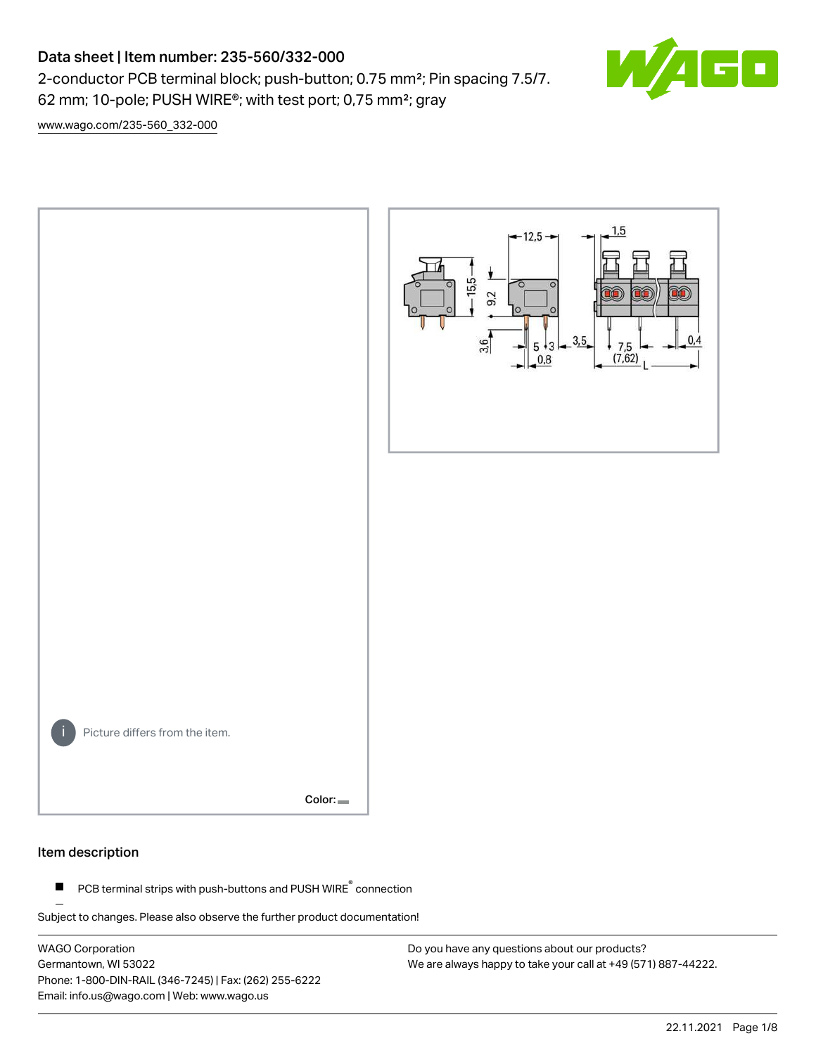# Data sheet | Item number: 235-560/332-000

2-conductor PCB terminal block; push-button; 0.75 mm²; Pin spacing 7.5/7. 62 mm; 10-pole; PUSH WIRE®; with test port; 0,75 mm²; gray



[www.wago.com/235-560\\_332-000](http://www.wago.com/235-560_332-000)



#### Item description

PCB terminal strips with push-buttons and PUSH WIRE<sup>®</sup> connection  $\blacksquare$ 

Subject to changes. Please also observe the further product documentation!

WAGO Corporation Germantown, WI 53022 Phone: 1-800-DIN-RAIL (346-7245) | Fax: (262) 255-6222 Email: info.us@wago.com | Web: www.wago.us

Do you have any questions about our products? We are always happy to take your call at +49 (571) 887-44222.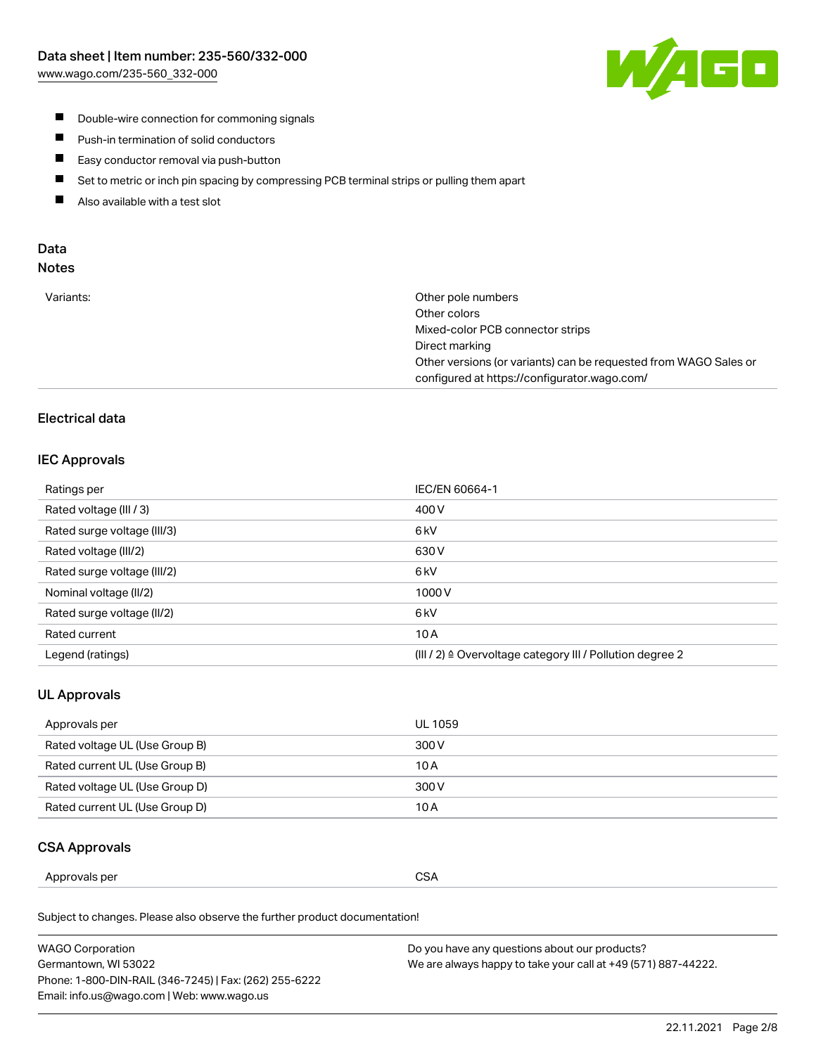

- **Double-wire connection for commoning signals**
- $\blacksquare$ Push-in termination of solid conductors
- Easy conductor removal via push-button  $\blacksquare$
- $\blacksquare$ Set to metric or inch pin spacing by compressing PCB terminal strips or pulling them apart
- $\blacksquare$ Also available with a test slot

### Data Notes

| Variants: | Other pole numbers                                               |
|-----------|------------------------------------------------------------------|
|           | Other colors                                                     |
|           | Mixed-color PCB connector strips                                 |
|           | Direct marking                                                   |
|           | Other versions (or variants) can be requested from WAGO Sales or |
|           | configured at https://configurator.wago.com/                     |

## Electrical data

### IEC Approvals

| Ratings per                 | IEC/EN 60664-1                                                        |
|-----------------------------|-----------------------------------------------------------------------|
| Rated voltage (III / 3)     | 400 V                                                                 |
| Rated surge voltage (III/3) | 6 <sub>kV</sub>                                                       |
| Rated voltage (III/2)       | 630 V                                                                 |
| Rated surge voltage (III/2) | 6 kV                                                                  |
| Nominal voltage (II/2)      | 1000V                                                                 |
| Rated surge voltage (II/2)  | 6 <sub>kV</sub>                                                       |
| Rated current               | 10A                                                                   |
| Legend (ratings)            | $(III / 2)$ $\triangle$ Overvoltage category III / Pollution degree 2 |

## UL Approvals

| Approvals per                  | UL 1059 |
|--------------------------------|---------|
| Rated voltage UL (Use Group B) | 300 V   |
| Rated current UL (Use Group B) | 10 A    |
| Rated voltage UL (Use Group D) | 300 V   |
| Rated current UL (Use Group D) | 10 A    |

### CSA Approvals

| per    |               |
|--------|---------------|
| ovais: | $\sim$ $\sim$ |
| Annr   | SΔ            |
|        | vv.           |
|        | ___           |
|        |               |

Subject to changes. Please also observe the further product documentation!

| WAGO Corporation                                       | Do you have any questions about our products?                 |
|--------------------------------------------------------|---------------------------------------------------------------|
| Germantown, WI 53022                                   | We are always happy to take your call at +49 (571) 887-44222. |
| Phone: 1-800-DIN-RAIL (346-7245)   Fax: (262) 255-6222 |                                                               |
| Email: info.us@wago.com   Web: www.wago.us             |                                                               |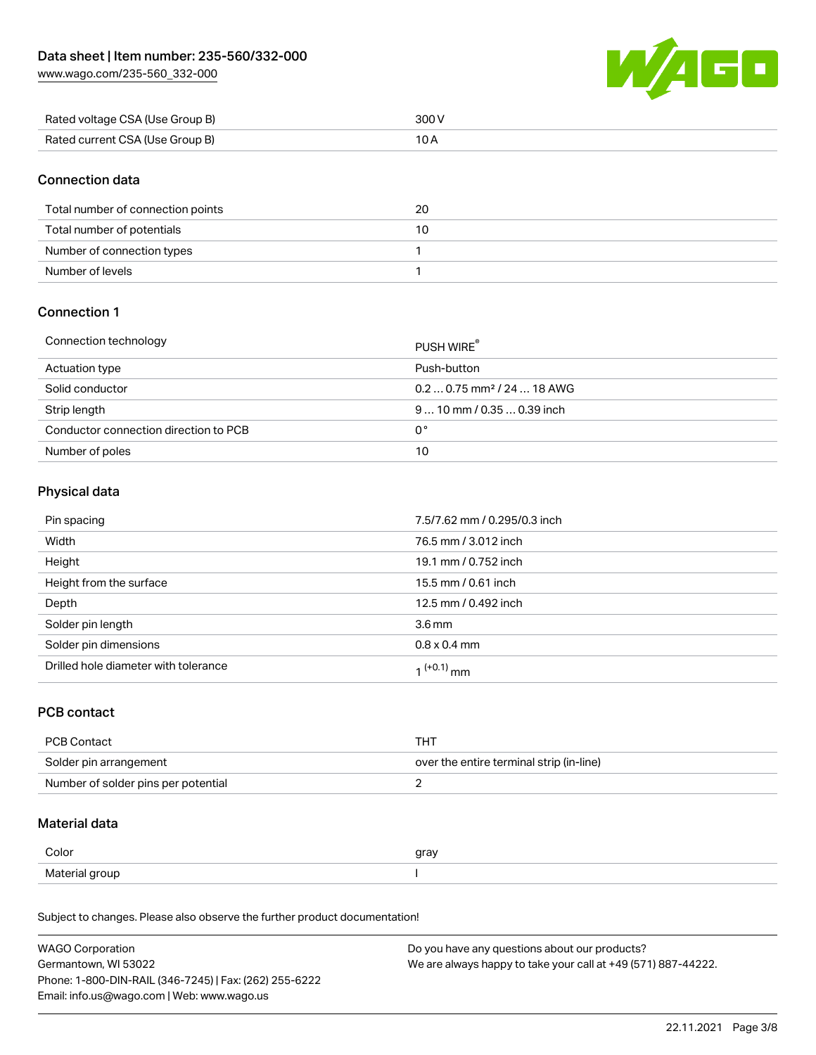[www.wago.com/235-560\\_332-000](http://www.wago.com/235-560_332-000)



| Rated voltage CSA (Use Group B) | 300 V |
|---------------------------------|-------|
| Rated current CSA (Use Group B) |       |

### Connection data

| Total number of connection points | 20 |
|-----------------------------------|----|
| Total number of potentials        | 10 |
| Number of connection types        |    |
| Number of levels                  |    |

## Connection 1

#### Connection technology PUSH WIRE®

|                                       | <b>PUSH WIRE</b>                       |
|---------------------------------------|----------------------------------------|
| Actuation type                        | Push-button                            |
| Solid conductor                       | $0.20.75$ mm <sup>2</sup> / 24  18 AWG |
| Strip length                          | $910$ mm / 0.35  0.39 inch             |
| Conductor connection direction to PCB | 0°                                     |
| Number of poles                       | 10                                     |

# Physical data

| Pin spacing                          | 7.5/7.62 mm / 0.295/0.3 inch |
|--------------------------------------|------------------------------|
| Width                                | 76.5 mm / 3.012 inch         |
| Height                               | 19.1 mm / 0.752 inch         |
| Height from the surface              | 15.5 mm / 0.61 inch          |
| Depth                                | 12.5 mm / 0.492 inch         |
| Solder pin length                    | 3.6 <sub>mm</sub>            |
| Solder pin dimensions                | $0.8 \times 0.4$ mm          |
| Drilled hole diameter with tolerance | $1^{(+0.1)}$ mm              |

## PCB contact

| PCB Contact                         | тнт                                      |
|-------------------------------------|------------------------------------------|
| Solder pin arrangement              | over the entire terminal strip (in-line) |
| Number of solder pins per potential |                                          |

# Material data

| Color          | gray |
|----------------|------|
| Material group |      |

Subject to changes. Please also observe the further product documentation!

| <b>WAGO Corporation</b>                                | Do you have any questions about our products?                 |
|--------------------------------------------------------|---------------------------------------------------------------|
| Germantown, WI 53022                                   | We are always happy to take your call at +49 (571) 887-44222. |
| Phone: 1-800-DIN-RAIL (346-7245)   Fax: (262) 255-6222 |                                                               |
| Email: info.us@wago.com   Web: www.wago.us             |                                                               |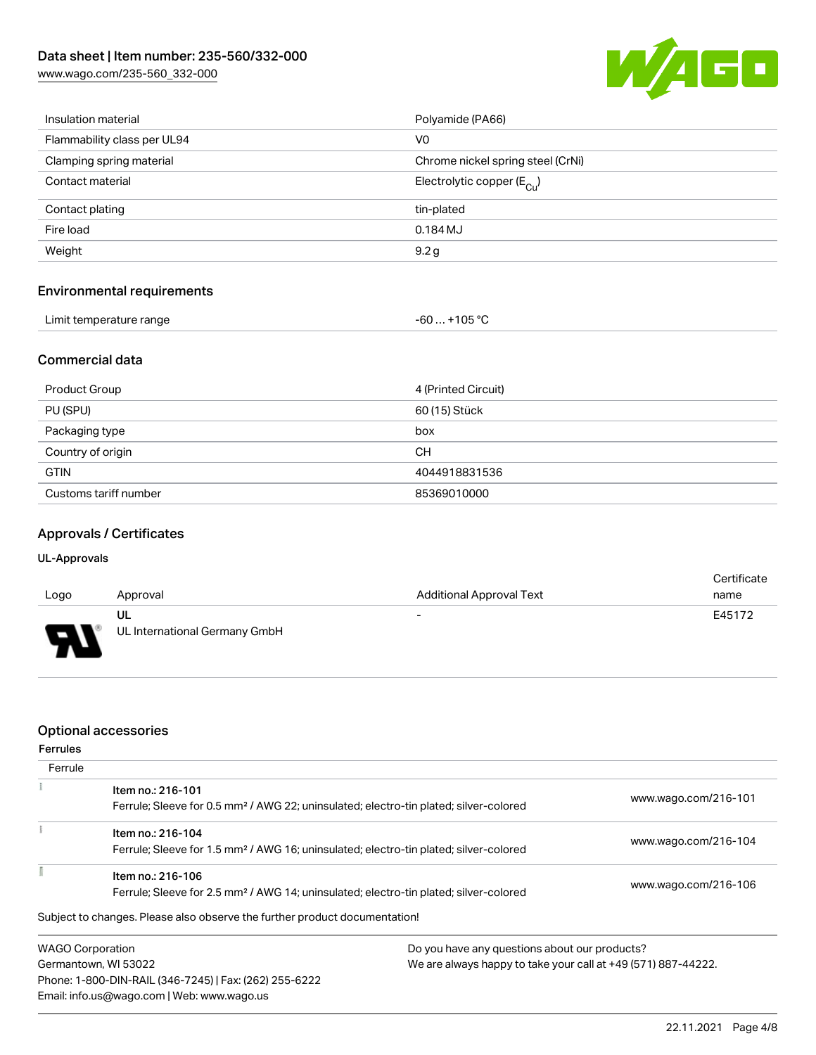[www.wago.com/235-560\\_332-000](http://www.wago.com/235-560_332-000)



| Insulation material               | Polyamide (PA66)                      |  |
|-----------------------------------|---------------------------------------|--|
| Flammability class per UL94       | V <sub>0</sub>                        |  |
| Clamping spring material          | Chrome nickel spring steel (CrNi)     |  |
| Contact material                  | Electrolytic copper $(E_{\text{Cl}})$ |  |
| Contact plating                   | tin-plated                            |  |
| Fire load                         | $0.184$ MJ                            |  |
| Weight                            | 9.2g                                  |  |
| <b>Environmental requirements</b> |                                       |  |

| Limit temperature range | -60  +105 °C |
|-------------------------|--------------|
|-------------------------|--------------|

# Commercial data

| Product Group         | 4 (Printed Circuit) |
|-----------------------|---------------------|
| PU (SPU)              | 60 (15) Stück       |
| Packaging type        | box                 |
| Country of origin     | CH.                 |
| <b>GTIN</b>           | 4044918831536       |
| Customs tariff number | 85369010000         |

## Approvals / Certificates

### UL-Approvals

| Logo     | Approval                            | <b>Additional Approval Text</b> | Certificate<br>name |
|----------|-------------------------------------|---------------------------------|---------------------|
| J<br>. . | UL<br>UL International Germany GmbH | $\overline{\phantom{0}}$        | E45172              |

## Optional accessories

Email: info.us@wago.com | Web: www.wago.us

| <b>Ferrules</b>         |                                                                                                   |                                               |                                                               |  |
|-------------------------|---------------------------------------------------------------------------------------------------|-----------------------------------------------|---------------------------------------------------------------|--|
| Ferrule                 |                                                                                                   |                                               |                                                               |  |
|                         | Item no.: 216-101                                                                                 |                                               | www.wago.com/216-101                                          |  |
|                         | Ferrule; Sleeve for 0.5 mm <sup>2</sup> / AWG 22; uninsulated; electro-tin plated; silver-colored |                                               |                                                               |  |
|                         | Item no.: 216-104                                                                                 |                                               |                                                               |  |
|                         | Ferrule; Sleeve for 1.5 mm <sup>2</sup> / AWG 16; uninsulated; electro-tin plated; silver-colored |                                               | www.wago.com/216-104                                          |  |
|                         | Item no.: 216-106                                                                                 |                                               |                                                               |  |
|                         | Ferrule; Sleeve for 2.5 mm <sup>2</sup> / AWG 14; uninsulated; electro-tin plated; silver-colored |                                               | www.wago.com/216-106                                          |  |
|                         | Subject to changes. Please also observe the further product documentation!                        |                                               |                                                               |  |
| <b>WAGO Corporation</b> |                                                                                                   | Do you have any questions about our products? |                                                               |  |
| Germantown, WI 53022    |                                                                                                   |                                               | We are always happy to take your call at +49 (571) 887-44222. |  |
|                         | Phone: 1-800-DIN-RAIL (346-7245)   Fax: (262) 255-6222                                            |                                               |                                                               |  |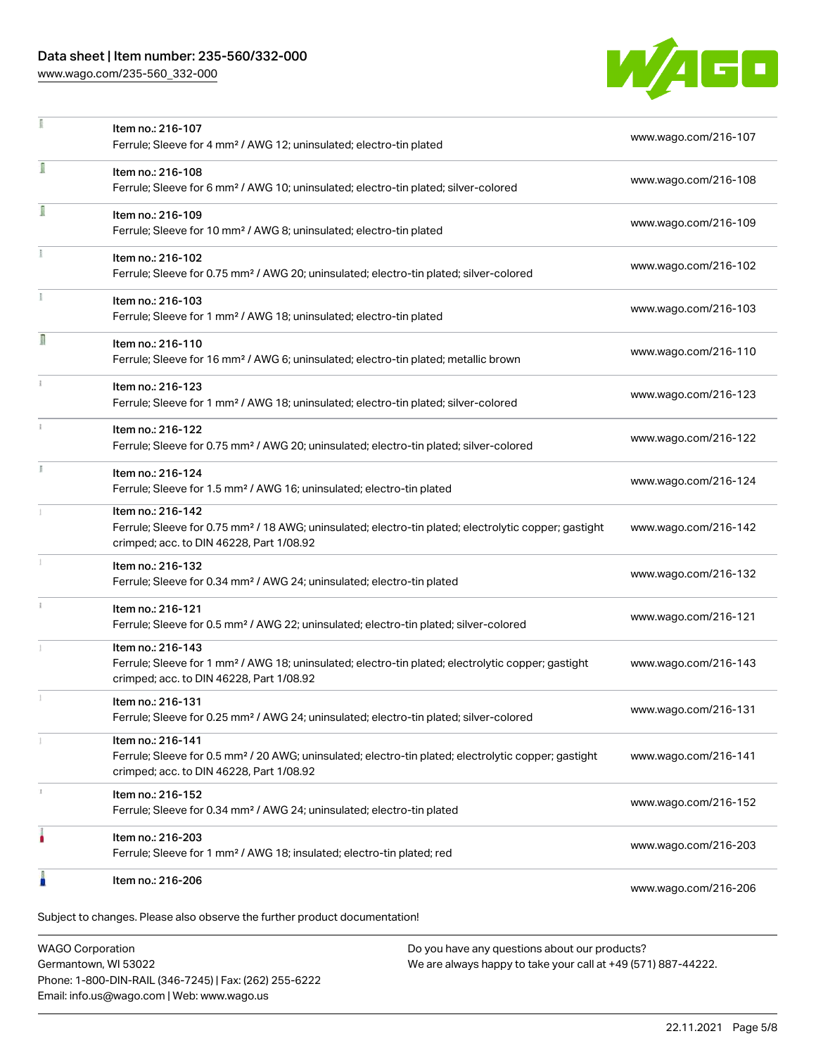## Data sheet | Item number: 235-560/332-000

[www.wago.com/235-560\\_332-000](http://www.wago.com/235-560_332-000)



|   | Item no.: 216-107<br>Ferrule; Sleeve for 4 mm <sup>2</sup> / AWG 12; uninsulated; electro-tin plated                                                                               | www.wago.com/216-107 |
|---|------------------------------------------------------------------------------------------------------------------------------------------------------------------------------------|----------------------|
| ī | Item no.: 216-108<br>Ferrule; Sleeve for 6 mm <sup>2</sup> / AWG 10; uninsulated; electro-tin plated; silver-colored                                                               | www.wago.com/216-108 |
| Ī | Item no.: 216-109<br>Ferrule; Sleeve for 10 mm <sup>2</sup> / AWG 8; uninsulated; electro-tin plated                                                                               | www.wago.com/216-109 |
|   | Item no.: 216-102<br>Ferrule; Sleeve for 0.75 mm <sup>2</sup> / AWG 20; uninsulated; electro-tin plated; silver-colored                                                            | www.wago.com/216-102 |
|   | Item no.: 216-103<br>Ferrule; Sleeve for 1 mm <sup>2</sup> / AWG 18; uninsulated; electro-tin plated                                                                               | www.wago.com/216-103 |
| Л | Item no.: 216-110<br>Ferrule; Sleeve for 16 mm <sup>2</sup> / AWG 6; uninsulated; electro-tin plated; metallic brown                                                               | www.wago.com/216-110 |
|   | Item no.: 216-123<br>Ferrule; Sleeve for 1 mm <sup>2</sup> / AWG 18; uninsulated; electro-tin plated; silver-colored                                                               | www.wago.com/216-123 |
|   | Item no.: 216-122<br>Ferrule; Sleeve for 0.75 mm <sup>2</sup> / AWG 20; uninsulated; electro-tin plated; silver-colored                                                            | www.wago.com/216-122 |
|   | Item no.: 216-124<br>Ferrule; Sleeve for 1.5 mm <sup>2</sup> / AWG 16; uninsulated; electro-tin plated                                                                             | www.wago.com/216-124 |
|   | Item no.: 216-142<br>Ferrule; Sleeve for 0.75 mm <sup>2</sup> / 18 AWG; uninsulated; electro-tin plated; electrolytic copper; gastight<br>crimped; acc. to DIN 46228, Part 1/08.92 | www.wago.com/216-142 |
|   | Item no.: 216-132<br>Ferrule; Sleeve for 0.34 mm <sup>2</sup> / AWG 24; uninsulated; electro-tin plated                                                                            | www.wago.com/216-132 |
|   | Item no.: 216-121<br>Ferrule; Sleeve for 0.5 mm <sup>2</sup> / AWG 22; uninsulated; electro-tin plated; silver-colored                                                             | www.wago.com/216-121 |
|   | Item no.: 216-143<br>Ferrule; Sleeve for 1 mm <sup>2</sup> / AWG 18; uninsulated; electro-tin plated; electrolytic copper; gastight<br>crimped; acc. to DIN 46228, Part 1/08.92    | www.wago.com/216-143 |
|   | Item no.: 216-131<br>Ferrule; Sleeve for 0.25 mm <sup>2</sup> / AWG 24; uninsulated; electro-tin plated; silver-colored                                                            | www.wago.com/216-131 |
|   | Item no.: 216-141<br>Ferrule; Sleeve for 0.5 mm <sup>2</sup> / 20 AWG; uninsulated; electro-tin plated; electrolytic copper; gastight<br>crimped; acc. to DIN 46228, Part 1/08.92  | www.wago.com/216-141 |
|   | Item no.: 216-152<br>Ferrule; Sleeve for 0.34 mm <sup>2</sup> / AWG 24; uninsulated; electro-tin plated                                                                            | www.wago.com/216-152 |
|   | Item no.: 216-203<br>Ferrule; Sleeve for 1 mm <sup>2</sup> / AWG 18; insulated; electro-tin plated; red                                                                            | www.wago.com/216-203 |
|   | Item no.: 216-206                                                                                                                                                                  | www.wago.com/216-206 |

WAGO Corporation Germantown, WI 53022 Phone: 1-800-DIN-RAIL (346-7245) | Fax: (262) 255-6222 Email: info.us@wago.com | Web: www.wago.us

Do you have any questions about our products? We are always happy to take your call at +49 (571) 887-44222.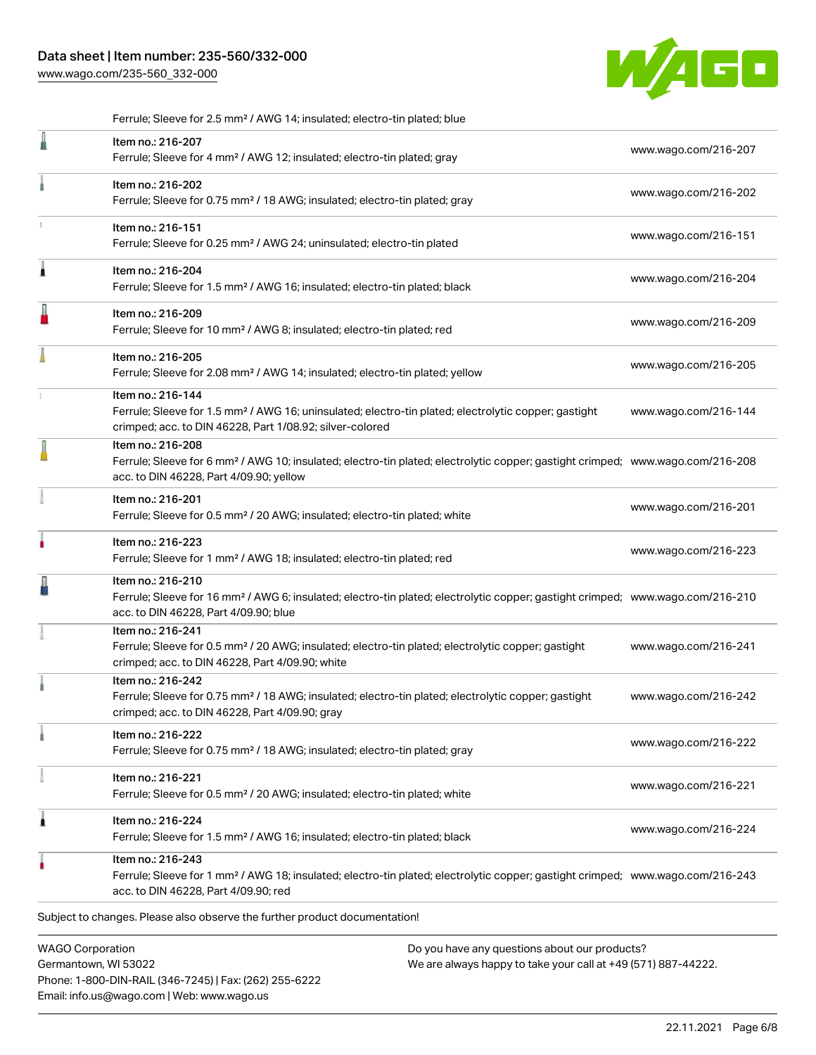[www.wago.com/235-560\\_332-000](http://www.wago.com/235-560_332-000)



|   | Ferrule; Sleeve for 2.5 mm <sup>2</sup> / AWG 14; insulated; electro-tin plated; blue                                                                                                                      |                      |
|---|------------------------------------------------------------------------------------------------------------------------------------------------------------------------------------------------------------|----------------------|
| I | Item no.: 216-207<br>Ferrule; Sleeve for 4 mm <sup>2</sup> / AWG 12; insulated; electro-tin plated; gray                                                                                                   | www.wago.com/216-207 |
|   | Item no.: 216-202<br>Ferrule; Sleeve for 0.75 mm <sup>2</sup> / 18 AWG; insulated; electro-tin plated; gray                                                                                                | www.wago.com/216-202 |
|   | Item no.: 216-151<br>Ferrule; Sleeve for 0.25 mm <sup>2</sup> / AWG 24; uninsulated; electro-tin plated                                                                                                    | www.wago.com/216-151 |
| Â | Item no.: 216-204<br>Ferrule; Sleeve for 1.5 mm <sup>2</sup> / AWG 16; insulated; electro-tin plated; black                                                                                                | www.wago.com/216-204 |
| J | Item no.: 216-209<br>Ferrule; Sleeve for 10 mm <sup>2</sup> / AWG 8; insulated; electro-tin plated; red                                                                                                    | www.wago.com/216-209 |
|   | Item no.: 216-205<br>Ferrule; Sleeve for 2.08 mm <sup>2</sup> / AWG 14; insulated; electro-tin plated; yellow                                                                                              | www.wago.com/216-205 |
|   | Item no.: 216-144<br>Ferrule; Sleeve for 1.5 mm <sup>2</sup> / AWG 16; uninsulated; electro-tin plated; electrolytic copper; gastight<br>crimped; acc. to DIN 46228, Part 1/08.92; silver-colored          | www.wago.com/216-144 |
|   | Item no.: 216-208<br>Ferrule; Sleeve for 6 mm <sup>2</sup> / AWG 10; insulated; electro-tin plated; electrolytic copper; gastight crimped; www.wago.com/216-208<br>acc. to DIN 46228, Part 4/09.90; yellow |                      |
|   | Item no.: 216-201<br>Ferrule; Sleeve for 0.5 mm <sup>2</sup> / 20 AWG; insulated; electro-tin plated; white                                                                                                | www.wago.com/216-201 |
|   | Item no.: 216-223<br>Ferrule; Sleeve for 1 mm <sup>2</sup> / AWG 18; insulated; electro-tin plated; red                                                                                                    | www.wago.com/216-223 |
|   | Item no.: 216-210<br>Ferrule; Sleeve for 16 mm <sup>2</sup> / AWG 6; insulated; electro-tin plated; electrolytic copper; gastight crimped; www.wago.com/216-210<br>acc. to DIN 46228, Part 4/09.90; blue   |                      |
|   | Item no.: 216-241<br>Ferrule; Sleeve for 0.5 mm <sup>2</sup> / 20 AWG; insulated; electro-tin plated; electrolytic copper; gastight<br>crimped; acc. to DIN 46228, Part 4/09.90; white                     | www.wago.com/216-241 |
|   | Item no.: 216-242<br>Ferrule; Sleeve for 0.75 mm <sup>2</sup> / 18 AWG; insulated; electro-tin plated; electrolytic copper; gastight<br>crimped; acc. to DIN 46228, Part 4/09.90; gray                     | www.wago.com/216-242 |
|   | Item no.: 216-222<br>Ferrule; Sleeve for 0.75 mm <sup>2</sup> / 18 AWG; insulated; electro-tin plated; gray                                                                                                | www.wago.com/216-222 |
|   | Item no.: 216-221<br>Ferrule; Sleeve for 0.5 mm <sup>2</sup> / 20 AWG; insulated; electro-tin plated; white                                                                                                | www.wago.com/216-221 |
| Â | Item no.: 216-224<br>Ferrule; Sleeve for 1.5 mm <sup>2</sup> / AWG 16; insulated; electro-tin plated; black                                                                                                | www.wago.com/216-224 |
|   | Item no.: 216-243<br>Ferrule; Sleeve for 1 mm <sup>2</sup> / AWG 18; insulated; electro-tin plated; electrolytic copper; gastight crimped; www.wago.com/216-243<br>acc. to DIN 46228, Part 4/09.90; red    |                      |
|   | Subject to changes. Please also observe the further product documentation!                                                                                                                                 |                      |
|   | <b>WAGO Corporation</b><br>Do you have any questions about our products?                                                                                                                                   |                      |

Germantown, WI 53022 Phone: 1-800-DIN-RAIL (346-7245) | Fax: (262) 255-6222 Email: info.us@wago.com | Web: www.wago.us

Do you have any questions about our products? We are always happy to take your call at +49 (571) 887-44222.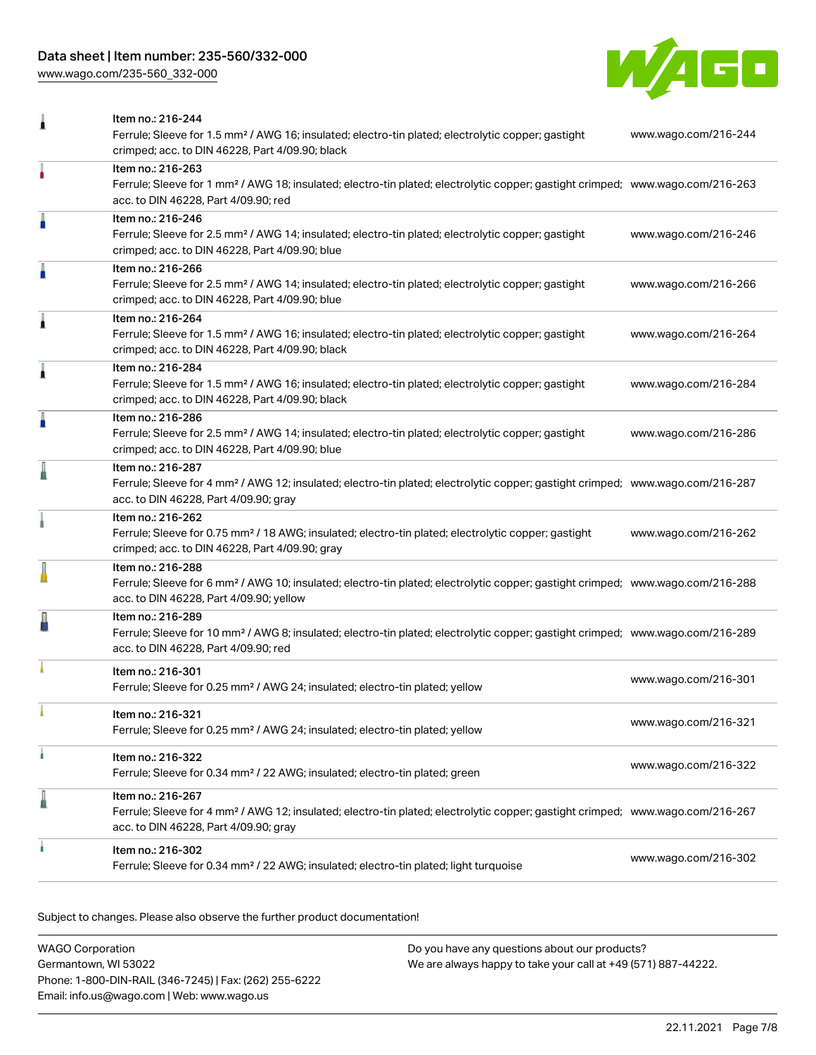## Data sheet | Item number: 235-560/332-000

[www.wago.com/235-560\\_332-000](http://www.wago.com/235-560_332-000)



| 1 | Item no.: 216-244<br>Ferrule; Sleeve for 1.5 mm <sup>2</sup> / AWG 16; insulated; electro-tin plated; electrolytic copper; gastight<br>crimped; acc. to DIN 46228, Part 4/09.90; black                     | www.wago.com/216-244 |
|---|------------------------------------------------------------------------------------------------------------------------------------------------------------------------------------------------------------|----------------------|
|   | Item no.: 216-263<br>Ferrule; Sleeve for 1 mm <sup>2</sup> / AWG 18; insulated; electro-tin plated; electrolytic copper; gastight crimped; www.wago.com/216-263<br>acc. to DIN 46228, Part 4/09.90; red    |                      |
| I | Item no.: 216-246<br>Ferrule; Sleeve for 2.5 mm <sup>2</sup> / AWG 14; insulated; electro-tin plated; electrolytic copper; gastight<br>crimped; acc. to DIN 46228, Part 4/09.90; blue                      | www.wago.com/216-246 |
| I | Item no.: 216-266<br>Ferrule; Sleeve for 2.5 mm <sup>2</sup> / AWG 14; insulated; electro-tin plated; electrolytic copper; gastight<br>crimped; acc. to DIN 46228, Part 4/09.90; blue                      | www.wago.com/216-266 |
| Â | Item no.: 216-264<br>Ferrule; Sleeve for 1.5 mm <sup>2</sup> / AWG 16; insulated; electro-tin plated; electrolytic copper; gastight<br>crimped; acc. to DIN 46228, Part 4/09.90; black                     | www.wago.com/216-264 |
| Â | Item no.: 216-284<br>Ferrule; Sleeve for 1.5 mm <sup>2</sup> / AWG 16; insulated; electro-tin plated; electrolytic copper; gastight<br>crimped; acc. to DIN 46228, Part 4/09.90; black                     | www.wago.com/216-284 |
| A | Item no.: 216-286<br>Ferrule; Sleeve for 2.5 mm <sup>2</sup> / AWG 14; insulated; electro-tin plated; electrolytic copper; gastight<br>crimped; acc. to DIN 46228, Part 4/09.90; blue                      | www.wago.com/216-286 |
| ä | Item no.: 216-287<br>Ferrule; Sleeve for 4 mm <sup>2</sup> / AWG 12; insulated; electro-tin plated; electrolytic copper; gastight crimped; www.wago.com/216-287<br>acc. to DIN 46228, Part 4/09.90; gray   |                      |
|   | Item no.: 216-262<br>Ferrule; Sleeve for 0.75 mm <sup>2</sup> / 18 AWG; insulated; electro-tin plated; electrolytic copper; gastight<br>crimped; acc. to DIN 46228, Part 4/09.90; gray                     | www.wago.com/216-262 |
|   | Item no.: 216-288<br>Ferrule; Sleeve for 6 mm <sup>2</sup> / AWG 10; insulated; electro-tin plated; electrolytic copper; gastight crimped; www.wago.com/216-288<br>acc. to DIN 46228, Part 4/09.90; yellow |                      |
|   | Item no.: 216-289<br>Ferrule; Sleeve for 10 mm <sup>2</sup> / AWG 8; insulated; electro-tin plated; electrolytic copper; gastight crimped; www.wago.com/216-289<br>acc. to DIN 46228, Part 4/09.90; red    |                      |
|   | Item no.: 216-301<br>Ferrule; Sleeve for 0.25 mm <sup>2</sup> / AWG 24; insulated; electro-tin plated; yellow                                                                                              | www.wago.com/216-301 |
|   | Item no.: 216-321<br>Ferrule; Sleeve for 0.25 mm <sup>2</sup> / AWG 24; insulated; electro-tin plated; yellow                                                                                              | www.wago.com/216-321 |
| ۸ | Item no.: 216-322<br>Ferrule; Sleeve for 0.34 mm <sup>2</sup> / 22 AWG; insulated; electro-tin plated; green                                                                                               | www.wago.com/216-322 |
| ä | Item no.: 216-267<br>Ferrule; Sleeve for 4 mm <sup>2</sup> / AWG 12; insulated; electro-tin plated; electrolytic copper; gastight crimped; www.wago.com/216-267<br>acc. to DIN 46228, Part 4/09.90; gray   |                      |
|   | Item no.: 216-302<br>Ferrule; Sleeve for 0.34 mm <sup>2</sup> / 22 AWG; insulated; electro-tin plated; light turquoise                                                                                     | www.wago.com/216-302 |

Subject to changes. Please also observe the further product documentation!

| WAGO Corporation                                       | Do you have any questions about our products?                 |
|--------------------------------------------------------|---------------------------------------------------------------|
| Germantown, WI 53022                                   | We are always happy to take your call at +49 (571) 887-44222. |
| Phone: 1-800-DIN-RAIL (346-7245)   Fax: (262) 255-6222 |                                                               |
| Email: info.us@wago.com   Web: www.wago.us             |                                                               |